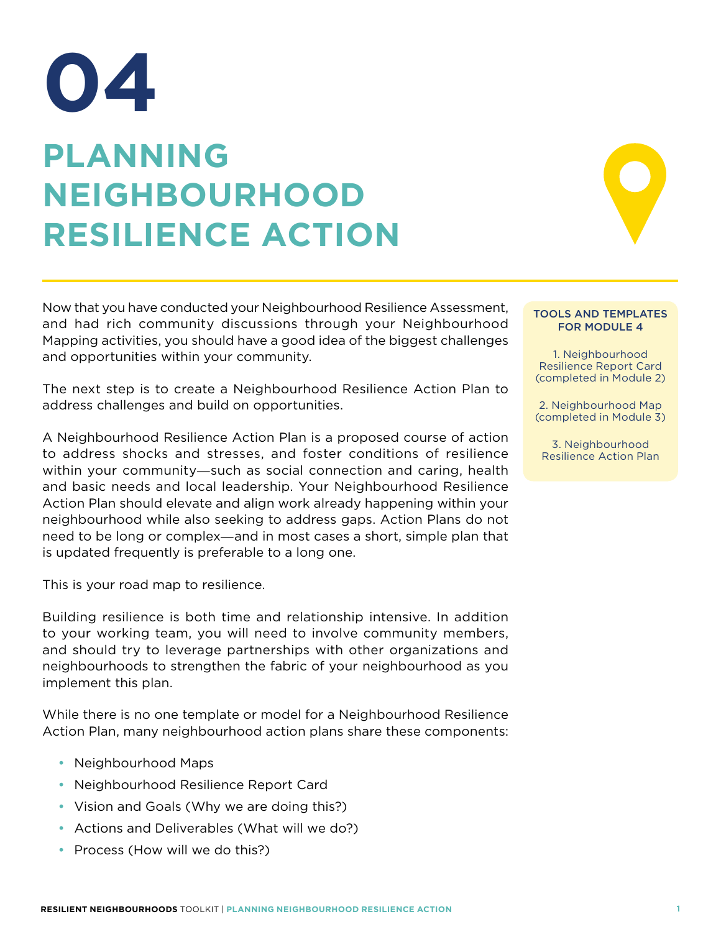# **PLANNING NEIGHBOURHOOD RESILIENCE ACTION 04**

Now that you have conducted your Neighbourhood Resilience Assessment, and had rich community discussions through your Neighbourhood Mapping activities, you should have a good idea of the biggest challenges and opportunities within your community.

The next step is to create a Neighbourhood Resilience Action Plan to address challenges and build on opportunities.

A Neighbourhood Resilience Action Plan is a proposed course of action to address shocks and stresses, and foster conditions of resilience within your community―such as social connection and caring, health and basic needs and local leadership. Your Neighbourhood Resilience Action Plan should elevate and align work already happening within your neighbourhood while also seeking to address gaps. Action Plans do not need to be long or complex―and in most cases a short, simple plan that is updated frequently is preferable to a long one.

This is your road map to resilience.

Building resilience is both time and relationship intensive. In addition to your working team, you will need to involve community members, and should try to leverage partnerships with other organizations and neighbourhoods to strengthen the fabric of your neighbourhood as you implement this plan.

While there is no one template or model for a Neighbourhood Resilience Action Plan, many neighbourhood action plans share these components:

- Neighbourhood Maps
- Neighbourhood Resilience Report Card
- Vision and Goals (Why we are doing this?)
- Actions and Deliverables (What will we do?)
- Process (How will we do this?)

#### TOOLS AND TEMPLATES FOR MODULE 4

1. Neighbourhood Resilience Report Card (completed in Module 2)

2. Neighbourhood Map (completed in Module 3)

3. Neighbourhood Resilience Action Plan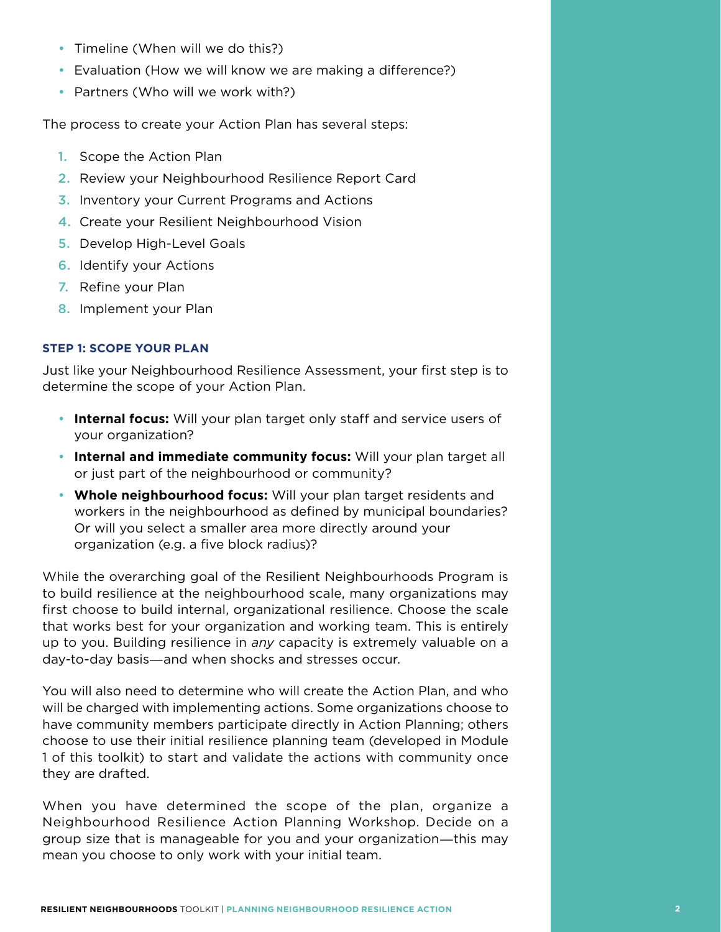- Timeline (When will we do this?)
- Evaluation (How we will know we are making a difference?)
- Partners (Who will we work with?)

The process to create your Action Plan has several steps:

- **1.** Scope the Action Plan
- 2. Review your Neighbourhood Resilience Report Card
- 3. Inventory your Current Programs and Actions
- 4. Create your Resilient Neighbourhood Vision
- **5. Develop High-Level Goals**
- **6.** Identify your Actions
- 7. Refine your Plan
- 8. Implement your Plan

# **STEP 1: SCOPE YOUR PLAN**

Just like your Neighbourhood Resilience Assessment, your first step is to determine the scope of your Action Plan.

- • **Internal focus:** Will your plan target only staff and service users of your organization?
- • **Internal and immediate community focus:** Will your plan target all or just part of the neighbourhood or community?
- • **Whole neighbourhood focus:** Will your plan target residents and workers in the neighbourhood as defined by municipal boundaries? Or will you select a smaller area more directly around your organization (e.g. a five block radius)?

While the overarching goal of the Resilient Neighbourhoods Program is to build resilience at the neighbourhood scale, many organizations may first choose to build internal, organizational resilience. Choose the scale that works best for your organization and working team. This is entirely up to you. Building resilience in *any* capacity is extremely valuable on a day-to-day basis―and when shocks and stresses occur.

You will also need to determine who will create the Action Plan, and who will be charged with implementing actions. Some organizations choose to have community members participate directly in Action Planning; others choose to use their initial resilience planning team (developed in Module 1 of this toolkit) to start and validate the actions with community once they are drafted.

When you have determined the scope of the plan, organize a Neighbourhood Resilience Action Planning Workshop. Decide on a group size that is manageable for you and your organization―this may mean you choose to only work with your initial team.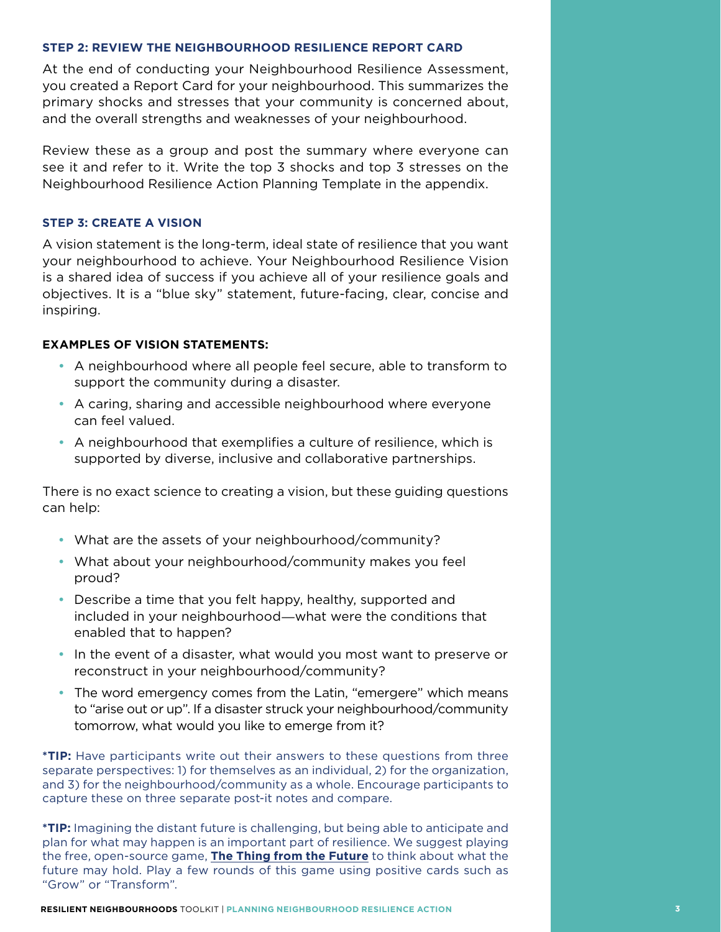#### **STEP 2: REVIEW THE NEIGHBOURHOOD RESILIENCE REPORT CARD**

At the end of conducting your Neighbourhood Resilience Assessment, you created a Report Card for your neighbourhood. This summarizes the primary shocks and stresses that your community is concerned about, and the overall strengths and weaknesses of your neighbourhood.

Review these as a group and post the summary where everyone can see it and refer to it. Write the top 3 shocks and top 3 stresses on the Neighbourhood Resilience Action Planning Template in the appendix.

#### **STEP 3: CREATE A VISION**

A vision statement is the long-term, ideal state of resilience that you want your neighbourhood to achieve. Your Neighbourhood Resilience Vision is a shared idea of success if you achieve all of your resilience goals and objectives. It is a "blue sky" statement, future-facing, clear, concise and inspiring.

## **EXAMPLES OF VISION STATEMENTS:**

- • A neighbourhood where all people feel secure, able to transform to support the community during a disaster.
- A caring, sharing and accessible neighbourhood where everyone can feel valued.
- A neighbourhood that exemplifies a culture of resilience, which is supported by diverse, inclusive and collaborative partnerships.

There is no exact science to creating a vision, but these guiding questions can help:

- What are the assets of your neighbourhood/community?
- What about your neighbourhood/community makes you feel proud?
- Describe a time that you felt happy, healthy, supported and included in your neighbourhood―what were the conditions that enabled that to happen?
- In the event of a disaster, what would you most want to preserve or reconstruct in your neighbourhood/community?
- The word emergency comes from the Latin, "emergere" which means to "arise out or up". If a disaster struck your neighbourhood/community tomorrow, what would you like to emerge from it?

**\*TIP:** Have participants write out their answers to these questions from three separate perspectives: 1) for themselves as an individual, 2) for the organization, and 3) for the neighbourhood/community as a whole. Encourage participants to capture these on three separate post-it notes and compare.

**\*TIP:** Imagining the distant future is challenging, but being able to anticipate and plan for what may happen is an important part of resilience. We suggest playing the free, open-source game, **The Thing from the Future** to think about what the future may hold. Play a few rounds of this game using positive cards such as "Grow" or "Transform".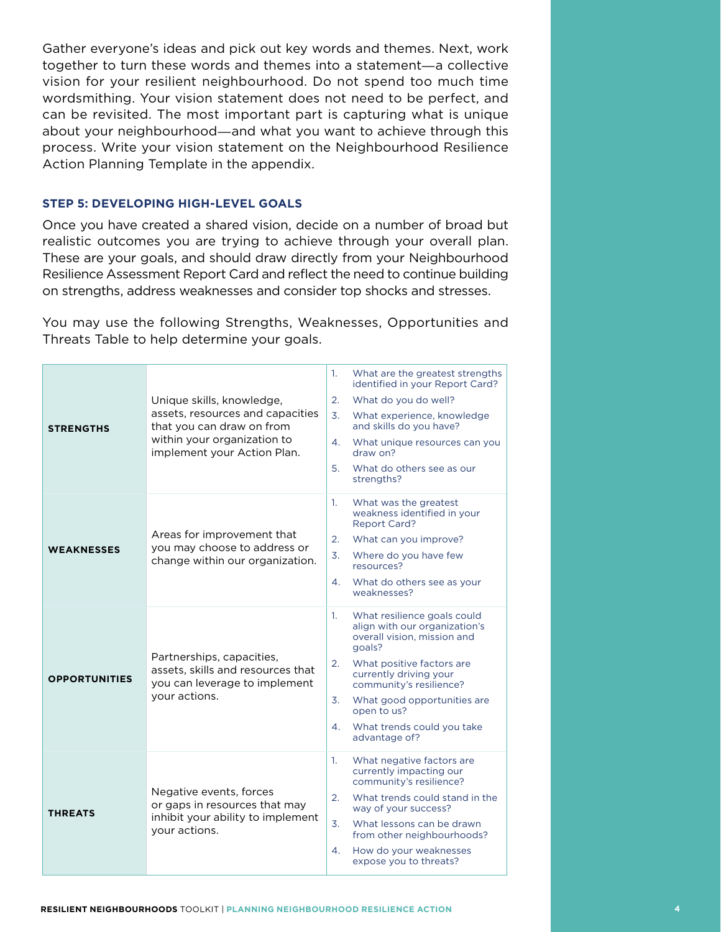Gather everyone's ideas and pick out key words and themes. Next, work together to turn these words and themes into a statement―a collective vision for your resilient neighbourhood. Do not spend too much time wordsmithing. Your vision statement does not need to be perfect, and can be revisited. The most important part is capturing what is unique about your neighbourhood―and what you want to achieve through this process. Write your vision statement on the Neighbourhood Resilience Action Planning Template in the appendix.

### **STEP 5: DEVELOPING HIGH-LEVEL GOALS**

Once you have created a shared vision, decide on a number of broad but realistic outcomes you are trying to achieve through your overall plan. These are your goals, and should draw directly from your Neighbourhood Resilience Assessment Report Card and reflect the need to continue building on strengths, address weaknesses and consider top shocks and stresses.

You may use the following Strengths, Weaknesses, Opportunities and Threats Table to help determine your goals.

| <b>STRENGTHS</b>     | Unique skills, knowledge,<br>assets, resources and capacities<br>that you can draw on from<br>within your organization to<br>implement your Action Plan. | What are the greatest strengths<br>1.<br>identified in your Report Card?<br>2.<br>What do you do well?<br>3.<br>What experience, knowledge<br>and skills do you have?<br>4.<br>What unique resources can you<br>draw on?<br>5.<br>What do others see as our<br>strengths?                                    |
|----------------------|----------------------------------------------------------------------------------------------------------------------------------------------------------|--------------------------------------------------------------------------------------------------------------------------------------------------------------------------------------------------------------------------------------------------------------------------------------------------------------|
| <b>WEAKNESSES</b>    | Areas for improvement that<br>you may choose to address or<br>change within our organization.                                                            | 1.<br>What was the greatest<br>weakness identified in your<br><b>Report Card?</b><br>2.<br>What can you improve?<br>3.<br>Where do you have few<br>resources?<br>4.<br>What do others see as your<br>weaknesses?                                                                                             |
| <b>OPPORTUNITIES</b> | Partnerships, capacities,<br>assets, skills and resources that<br>you can leverage to implement<br>your actions.                                         | What resilience goals could<br>1.<br>align with our organization's<br>overall vision, mission and<br>qoals?<br>What positive factors are<br>2.<br>currently driving your<br>community's resilience?<br>What good opportunities are<br>3.<br>open to us?<br>What trends could you take<br>4.<br>advantage of? |
| <b>THREATS</b>       | Negative events, forces<br>or gaps in resources that may<br>inhibit your ability to implement<br>your actions.                                           | 1.<br>What negative factors are<br>currently impacting our<br>community's resilience?<br>What trends could stand in the<br>2.<br>way of your success?<br>3.<br>What lessons can be drawn<br>from other neighbourhoods?<br>How do your weaknesses<br>4.<br>expose you to threats?                             |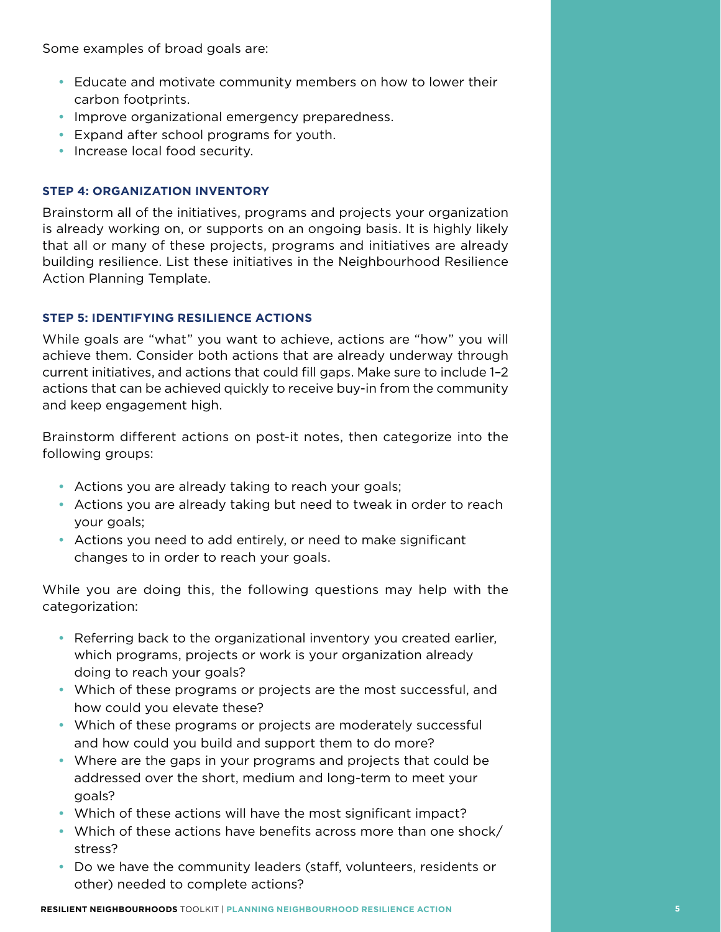Some examples of broad goals are:

- Educate and motivate community members on how to lower their carbon footprints.
- Improve organizational emergency preparedness.
- • Expand after school programs for youth.
- Increase local food security.

# **STEP 4: ORGANIZATION INVENTORY**

Brainstorm all of the initiatives, programs and projects your organization is already working on, or supports on an ongoing basis. It is highly likely that all or many of these projects, programs and initiatives are already building resilience. List these initiatives in the Neighbourhood Resilience Action Planning Template.

# **STEP 5: IDENTIFYING RESILIENCE ACTIONS**

While goals are "what" you want to achieve, actions are "how" you will achieve them. Consider both actions that are already underway through current initiatives, and actions that could fill gaps. Make sure to include 1–2 actions that can be achieved quickly to receive buy-in from the community and keep engagement high.

Brainstorm different actions on post-it notes, then categorize into the following groups:

- Actions you are already taking to reach your goals;
- Actions you are already taking but need to tweak in order to reach your goals;
- Actions you need to add entirely, or need to make significant changes to in order to reach your goals.

While you are doing this, the following questions may help with the categorization:

- Referring back to the organizational inventory you created earlier, which programs, projects or work is your organization already doing to reach your goals?
- Which of these programs or projects are the most successful, and how could you elevate these?
- Which of these programs or projects are moderately successful and how could you build and support them to do more?
- Where are the gaps in your programs and projects that could be addressed over the short, medium and long-term to meet your goals?
- Which of these actions will have the most significant impact?
- Which of these actions have benefits across more than one shock/ stress?
- Do we have the community leaders (staff, volunteers, residents or other) needed to complete actions?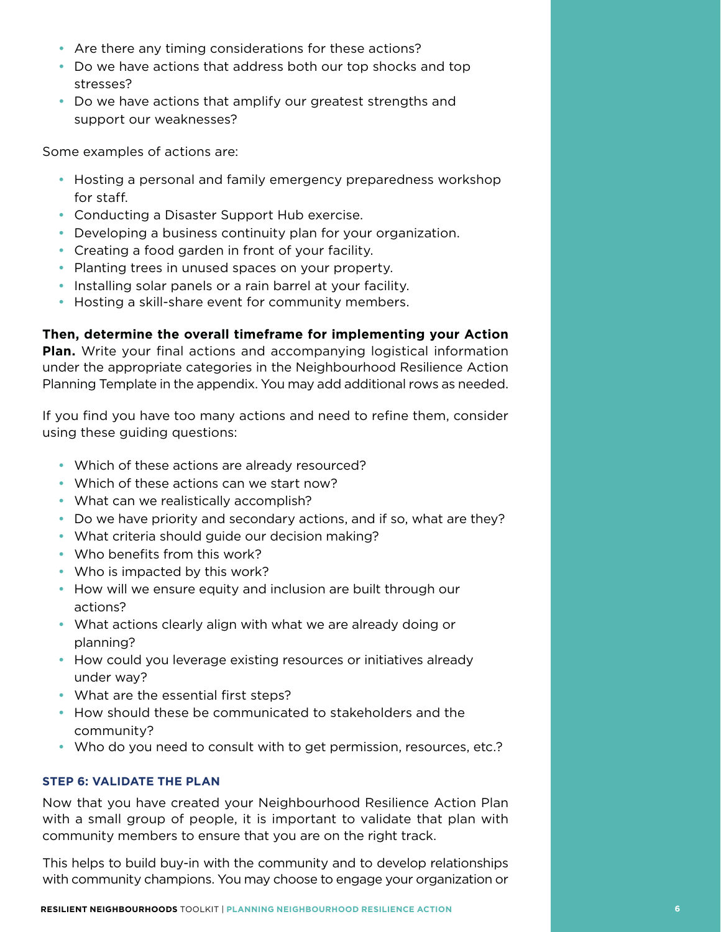- Are there any timing considerations for these actions?
- Do we have actions that address both our top shocks and top stresses?
- Do we have actions that amplify our greatest strengths and support our weaknesses?

Some examples of actions are:

- Hosting a personal and family emergency preparedness workshop for staff.
- Conducting a Disaster Support Hub exercise.
- Developing a business continuity plan for your organization.
- Creating a food garden in front of your facility.
- Planting trees in unused spaces on your property.
- Installing solar panels or a rain barrel at your facility.
- Hosting a skill-share event for community members.

**Then, determine the overall timeframe for implementing your Action** 

**Plan.** Write your final actions and accompanying logistical information under the appropriate categories in the Neighbourhood Resilience Action Planning Template in the appendix. You may add additional rows as needed.

If you find you have too many actions and need to refine them, consider using these guiding questions:

- Which of these actions are already resourced?
- Which of these actions can we start now?
- What can we realistically accomplish?
- Do we have priority and secondary actions, and if so, what are they?
- What criteria should guide our decision making?
- Who benefits from this work?
- Who is impacted by this work?
- How will we ensure equity and inclusion are built through our actions?
- What actions clearly align with what we are already doing or planning?
- How could you leverage existing resources or initiatives already under way?
- What are the essential first steps?
- How should these be communicated to stakeholders and the community?
- Who do you need to consult with to get permission, resources, etc.?

# **STEP 6: VALIDATE THE PLAN**

Now that you have created your Neighbourhood Resilience Action Plan with a small group of people, it is important to validate that plan with community members to ensure that you are on the right track.

This helps to build buy-in with the community and to develop relationships with community champions. You may choose to engage your organization or